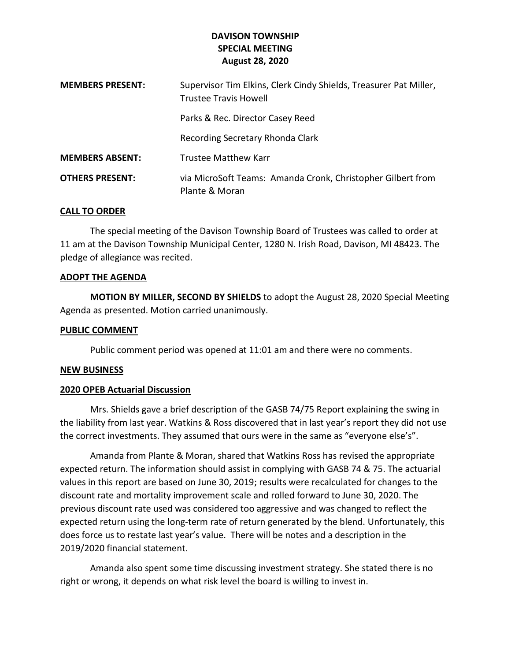## **DAVISON TOWNSHIP SPECIAL MEETING August 28, 2020**

| <b>MEMBERS PRESENT:</b> | Supervisor Tim Elkins, Clerk Cindy Shields, Treasurer Pat Miller,<br><b>Trustee Travis Howell</b> |
|-------------------------|---------------------------------------------------------------------------------------------------|
|                         | Parks & Rec. Director Casey Reed                                                                  |
|                         | Recording Secretary Rhonda Clark                                                                  |
| <b>MEMBERS ABSENT:</b>  | <b>Trustee Matthew Karr</b>                                                                       |
| <b>OTHERS PRESENT:</b>  | via MicroSoft Teams: Amanda Cronk, Christopher Gilbert from<br>Plante & Moran                     |

### **CALL TO ORDER**

The special meeting of the Davison Township Board of Trustees was called to order at 11 am at the Davison Township Municipal Center, 1280 N. Irish Road, Davison, MI 48423. The pledge of allegiance was recited.

#### **ADOPT THE AGENDA**

**MOTION BY MILLER, SECOND BY SHIELDS** to adopt the August 28, 2020 Special Meeting Agenda as presented. Motion carried unanimously.

#### **PUBLIC COMMENT**

Public comment period was opened at 11:01 am and there were no comments.

#### **NEW BUSINESS**

#### **2020 OPEB Actuarial Discussion**

Mrs. Shields gave a brief description of the GASB 74/75 Report explaining the swing in the liability from last year. Watkins & Ross discovered that in last year's report they did not use the correct investments. They assumed that ours were in the same as "everyone else's".

Amanda from Plante & Moran, shared that Watkins Ross has revised the appropriate expected return. The information should assist in complying with GASB 74 & 75. The actuarial values in this report are based on June 30, 2019; results were recalculated for changes to the discount rate and mortality improvement scale and rolled forward to June 30, 2020. The previous discount rate used was considered too aggressive and was changed to reflect the expected return using the long-term rate of return generated by the blend. Unfortunately, this does force us to restate last year's value. There will be notes and a description in the 2019/2020 financial statement.

Amanda also spent some time discussing investment strategy. She stated there is no right or wrong, it depends on what risk level the board is willing to invest in.